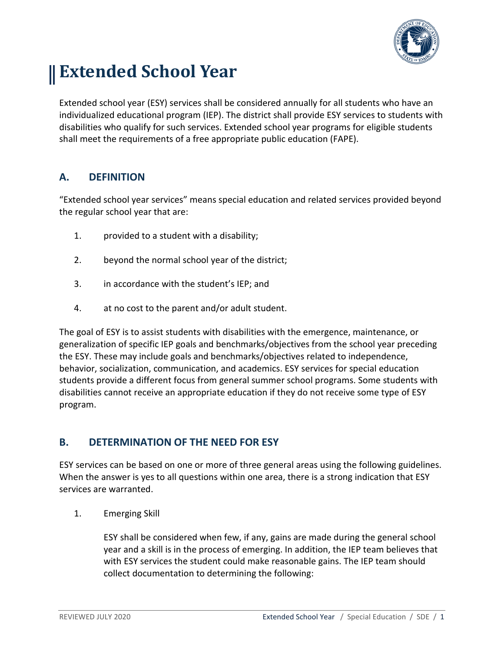

# **Extended School Year**

Extended school year (ESY) services shall be considered annually for all students who have an individualized educational program (IEP). The district shall provide ESY services to students with disabilities who qualify for such services. Extended school year programs for eligible students shall meet the requirements of a free appropriate public education (FAPE).

### **A. DEFINITION**

"Extended school year services" means special education and related services provided beyond the regular school year that are:

- 1. provided to a student with a disability;
- 2. beyond the normal school year of the district;
- 3. in accordance with the student's IEP; and
- 4. at no cost to the parent and/or adult student.

The goal of ESY is to assist students with disabilities with the emergence, maintenance, or generalization of specific IEP goals and benchmarks/objectives from the school year preceding the ESY. These may include goals and benchmarks/objectives related to independence, behavior, socialization, communication, and academics. ESY services for special education students provide a different focus from general summer school programs. Some students with disabilities cannot receive an appropriate education if they do not receive some type of ESY program.

### **B. DETERMINATION OF THE NEED FOR ESY**

ESY services can be based on one or more of three general areas using the following guidelines. When the answer is yes to all questions within one area, there is a strong indication that ESY services are warranted.

1. Emerging Skill

ESY shall be considered when few, if any, gains are made during the general school year and a skill is in the process of emerging. In addition, the IEP team believes that with ESY services the student could make reasonable gains. The IEP team should collect documentation to determining the following: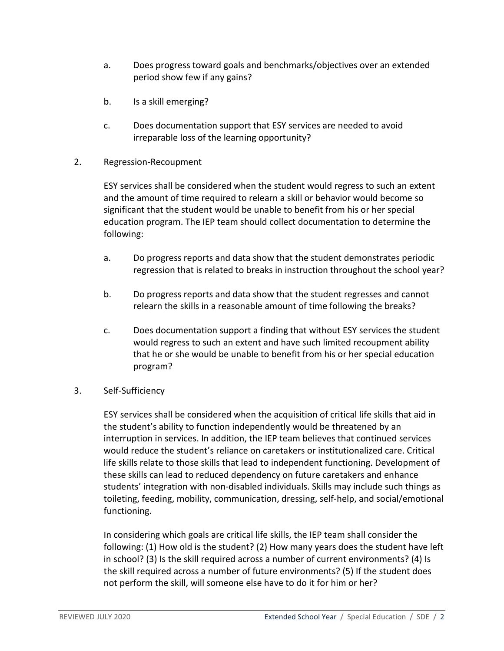- a. Does progress toward goals and benchmarks/objectives over an extended period show few if any gains?
- b. Is a skill emerging?
- c. Does documentation support that ESY services are needed to avoid irreparable loss of the learning opportunity?
- 2. Regression-Recoupment

ESY services shall be considered when the student would regress to such an extent and the amount of time required to relearn a skill or behavior would become so significant that the student would be unable to benefit from his or her special education program. The IEP team should collect documentation to determine the following:

- a. Do progress reports and data show that the student demonstrates periodic regression that is related to breaks in instruction throughout the school year?
- b. Do progress reports and data show that the student regresses and cannot relearn the skills in a reasonable amount of time following the breaks?
- c. Does documentation support a finding that without ESY services the student would regress to such an extent and have such limited recoupment ability that he or she would be unable to benefit from his or her special education program?

#### 3. Self-Sufficiency

ESY services shall be considered when the acquisition of critical life skills that aid in the student's ability to function independently would be threatened by an interruption in services. In addition, the IEP team believes that continued services would reduce the student's reliance on caretakers or institutionalized care. Critical life skills relate to those skills that lead to independent functioning. Development of these skills can lead to reduced dependency on future caretakers and enhance students' integration with non-disabled individuals. Skills may include such things as toileting, feeding, mobility, communication, dressing, self-help, and social/emotional functioning.

In considering which goals are critical life skills, the IEP team shall consider the following: (1) How old is the student? (2) How many years does the student have left in school? (3) Is the skill required across a number of current environments? (4) Is the skill required across a number of future environments? (5) If the student does not perform the skill, will someone else have to do it for him or her?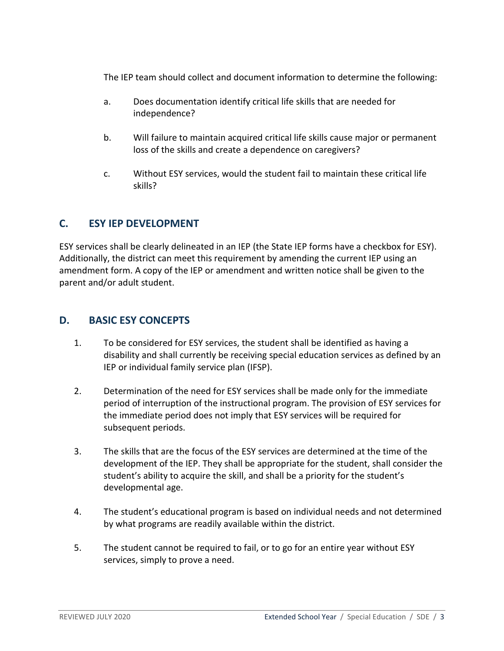The IEP team should collect and document information to determine the following:

- a. Does documentation identify critical life skills that are needed for independence?
- b. Will failure to maintain acquired critical life skills cause major or permanent loss of the skills and create a dependence on caregivers?
- c. Without ESY services, would the student fail to maintain these critical life skills?

# **C. ESY IEP DEVELOPMENT**

ESY services shall be clearly delineated in an IEP (the State IEP forms have a checkbox for ESY). Additionally, the district can meet this requirement by amending the current IEP using an amendment form. A copy of the IEP or amendment and written notice shall be given to the parent and/or adult student.

### **D. BASIC ESY CONCEPTS**

- 1. To be considered for ESY services, the student shall be identified as having a disability and shall currently be receiving special education services as defined by an IEP or individual family service plan (IFSP).
- 2. Determination of the need for ESY services shall be made only for the immediate period of interruption of the instructional program. The provision of ESY services for the immediate period does not imply that ESY services will be required for subsequent periods.
- 3. The skills that are the focus of the ESY services are determined at the time of the development of the IEP. They shall be appropriate for the student, shall consider the student's ability to acquire the skill, and shall be a priority for the student's developmental age.
- 4. The student's educational program is based on individual needs and not determined by what programs are readily available within the district.
- 5. The student cannot be required to fail, or to go for an entire year without ESY services, simply to prove a need.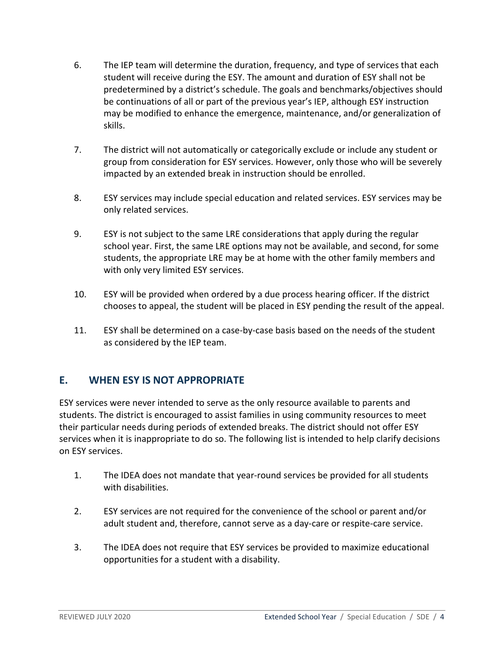- 6. The IEP team will determine the duration, frequency, and type of services that each student will receive during the ESY. The amount and duration of ESY shall not be predetermined by a district's schedule. The goals and benchmarks/objectives should be continuations of all or part of the previous year's IEP, although ESY instruction may be modified to enhance the emergence, maintenance, and/or generalization of skills.
- 7. The district will not automatically or categorically exclude or include any student or group from consideration for ESY services. However, only those who will be severely impacted by an extended break in instruction should be enrolled.
- 8. ESY services may include special education and related services. ESY services may be only related services.
- 9. ESY is not subject to the same LRE considerations that apply during the regular school year. First, the same LRE options may not be available, and second, for some students, the appropriate LRE may be at home with the other family members and with only very limited ESY services.
- 10. ESY will be provided when ordered by a due process hearing officer. If the district chooses to appeal, the student will be placed in ESY pending the result of the appeal.
- 11. ESY shall be determined on a case-by-case basis based on the needs of the student as considered by the IEP team.

### **E. WHEN ESY IS NOT APPROPRIATE**

ESY services were never intended to serve as the only resource available to parents and students. The district is encouraged to assist families in using community resources to meet their particular needs during periods of extended breaks. The district should not offer ESY services when it is inappropriate to do so. The following list is intended to help clarify decisions on ESY services.

- 1. The IDEA does not mandate that year-round services be provided for all students with disabilities.
- 2. ESY services are not required for the convenience of the school or parent and/or adult student and, therefore, cannot serve as a day-care or respite-care service.
- 3. The IDEA does not require that ESY services be provided to maximize educational opportunities for a student with a disability.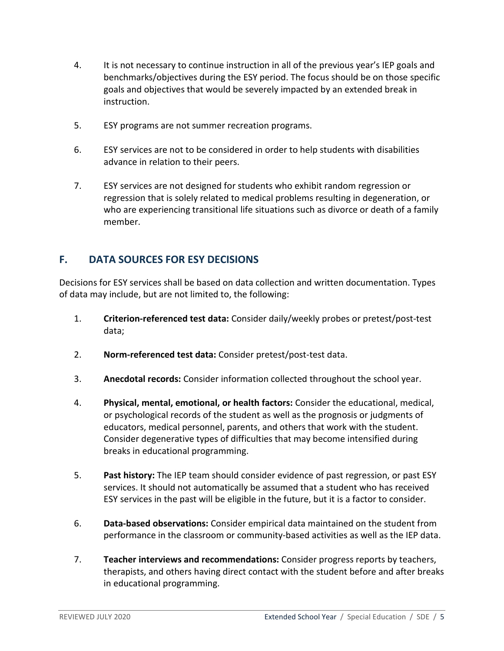- 4. It is not necessary to continue instruction in all of the previous year's IEP goals and benchmarks/objectives during the ESY period. The focus should be on those specific goals and objectives that would be severely impacted by an extended break in instruction.
- 5. ESY programs are not summer recreation programs.
- 6. ESY services are not to be considered in order to help students with disabilities advance in relation to their peers.
- 7. ESY services are not designed for students who exhibit random regression or regression that is solely related to medical problems resulting in degeneration, or who are experiencing transitional life situations such as divorce or death of a family member.

# **F. DATA SOURCES FOR ESY DECISIONS**

Decisions for ESY services shall be based on data collection and written documentation. Types of data may include, but are not limited to, the following:

- 1. **Criterion-referenced test data:** Consider daily/weekly probes or pretest/post-test data;
- 2. **Norm-referenced test data:** Consider pretest/post-test data.
- 3. **Anecdotal records:** Consider information collected throughout the school year.
- 4. **Physical, mental, emotional, or health factors:** Consider the educational, medical, or psychological records of the student as well as the prognosis or judgments of educators, medical personnel, parents, and others that work with the student. Consider degenerative types of difficulties that may become intensified during breaks in educational programming.
- 5. **Past history:** The IEP team should consider evidence of past regression, or past ESY services. It should not automatically be assumed that a student who has received ESY services in the past will be eligible in the future, but it is a factor to consider.
- 6. **Data-based observations:** Consider empirical data maintained on the student from performance in the classroom or community-based activities as well as the IEP data.
- 7. **Teacher interviews and recommendations:** Consider progress reports by teachers, therapists, and others having direct contact with the student before and after breaks in educational programming.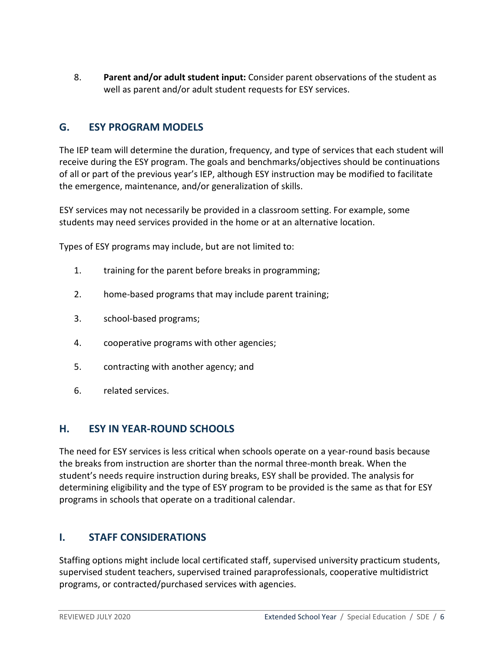8. **Parent and/or adult student input:** Consider parent observations of the student as well as parent and/or adult student requests for ESY services.

# **G. ESY PROGRAM MODELS**

The IEP team will determine the duration, frequency, and type of services that each student will receive during the ESY program. The goals and benchmarks/objectives should be continuations of all or part of the previous year's IEP, although ESY instruction may be modified to facilitate the emergence, maintenance, and/or generalization of skills.

ESY services may not necessarily be provided in a classroom setting. For example, some students may need services provided in the home or at an alternative location.

Types of ESY programs may include, but are not limited to:

- 1. training for the parent before breaks in programming;
- 2. home-based programs that may include parent training;
- 3. school-based programs;
- 4. cooperative programs with other agencies;
- 5. contracting with another agency; and
- 6. related services.

### **H. ESY IN YEAR-ROUND SCHOOLS**

The need for ESY services is less critical when schools operate on a year-round basis because the breaks from instruction are shorter than the normal three-month break. When the student's needs require instruction during breaks, ESY shall be provided. The analysis for determining eligibility and the type of ESY program to be provided is the same as that for ESY programs in schools that operate on a traditional calendar.

### **I. STAFF CONSIDERATIONS**

Staffing options might include local certificated staff, supervised university practicum students, supervised student teachers, supervised trained paraprofessionals, cooperative multidistrict programs, or contracted/purchased services with agencies.